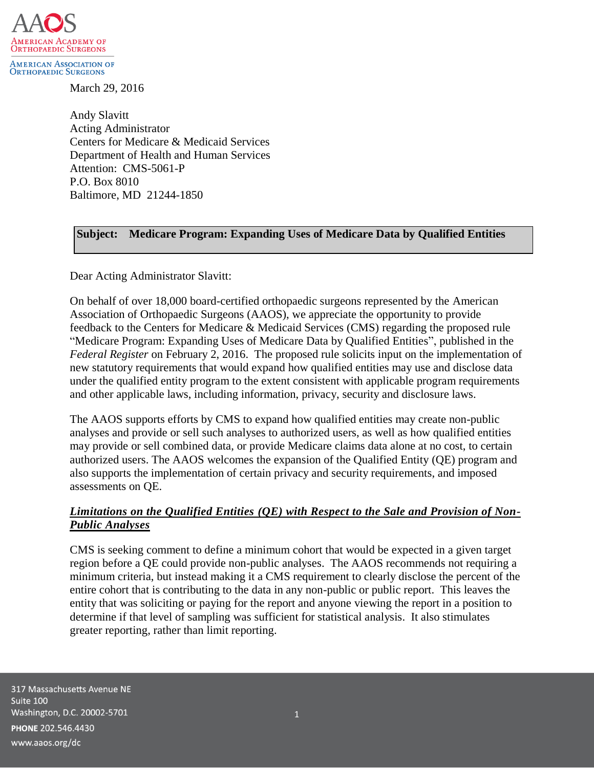

**ORTHOPAEDIC SURGEONS** 

March 29, 2016

Andy Slavitt Acting Administrator Centers for Medicare & Medicaid Services Department of Health and Human Services Attention: CMS-5061-P P.O. Box 8010 Baltimore, MD 21244-1850

### **Subject: Medicare Program: Expanding Uses of Medicare Data by Qualified Entities**

Dear Acting Administrator Slavitt:

On behalf of over 18,000 board-certified orthopaedic surgeons represented by the American Association of Orthopaedic Surgeons (AAOS), we appreciate the opportunity to provide feedback to the Centers for Medicare & Medicaid Services (CMS) regarding the proposed rule "Medicare Program: Expanding Uses of Medicare Data by Qualified Entities", published in the *Federal Register* on February 2, 2016. The proposed rule solicits input on the implementation of new statutory requirements that would expand how qualified entities may use and disclose data under the qualified entity program to the extent consistent with applicable program requirements and other applicable laws, including information, privacy, security and disclosure laws.

The AAOS supports efforts by CMS to expand how qualified entities may create non-public analyses and provide or sell such analyses to authorized users, as well as how qualified entities may provide or sell combined data, or provide Medicare claims data alone at no cost, to certain authorized users. The AAOS welcomes the expansion of the Qualified Entity (QE) program and also supports the implementation of certain privacy and security requirements, and imposed assessments on QE.

#### *Limitations on the Qualified Entities (QE) with Respect to the Sale and Provision of Non-Public Analyses*

CMS is seeking comment to define a minimum cohort that would be expected in a given target region before a QE could provide non-public analyses. The AAOS recommends not requiring a minimum criteria, but instead making it a CMS requirement to clearly disclose the percent of the entire cohort that is contributing to the data in any non-public or public report. This leaves the entity that was soliciting or paying for the report and anyone viewing the report in a position to determine if that level of sampling was sufficient for statistical analysis. It also stimulates greater reporting, rather than limit reporting.

317 Massachusetts Avenue NE Suite 100 Washington, D.C. 20002-5701 PHONE 202.546.4430 www.aaos.org/dc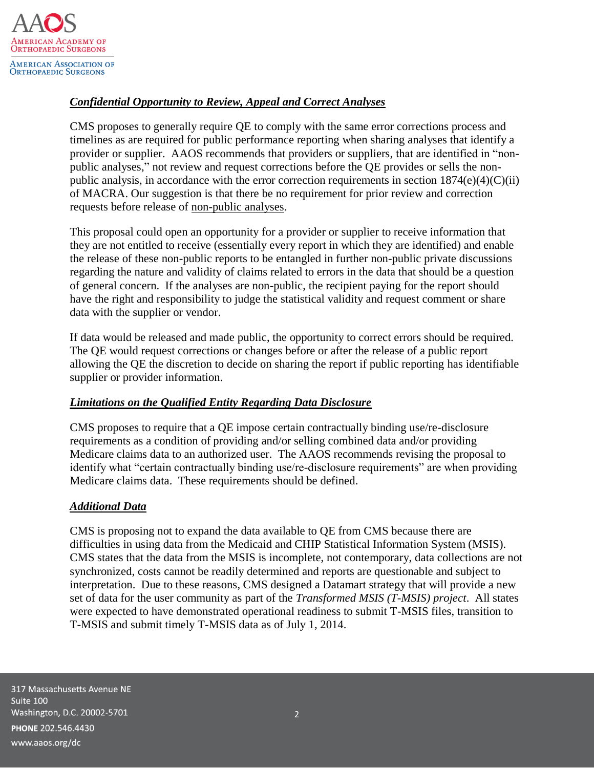

# *Confidential Opportunity to Review, Appeal and Correct Analyses*

CMS proposes to generally require QE to comply with the same error corrections process and timelines as are required for public performance reporting when sharing analyses that identify a provider or supplier. AAOS recommends that providers or suppliers, that are identified in "nonpublic analyses," not review and request corrections before the QE provides or sells the nonpublic analysis, in accordance with the error correction requirements in section  $1874(e)(4)(C)(ii)$ of MACRA. Our suggestion is that there be no requirement for prior review and correction requests before release of non-public analyses.

This proposal could open an opportunity for a provider or supplier to receive information that they are not entitled to receive (essentially every report in which they are identified) and enable the release of these non-public reports to be entangled in further non-public private discussions regarding the nature and validity of claims related to errors in the data that should be a question of general concern. If the analyses are non-public, the recipient paying for the report should have the right and responsibility to judge the statistical validity and request comment or share data with the supplier or vendor.

If data would be released and made public, the opportunity to correct errors should be required. The QE would request corrections or changes before or after the release of a public report allowing the QE the discretion to decide on sharing the report if public reporting has identifiable supplier or provider information.

#### *Limitations on the Qualified Entity Regarding Data Disclosure*

CMS proposes to require that a QE impose certain contractually binding use/re-disclosure requirements as a condition of providing and/or selling combined data and/or providing Medicare claims data to an authorized user. The AAOS recommends revising the proposal to identify what "certain contractually binding use/re-disclosure requirements" are when providing Medicare claims data. These requirements should be defined.

#### *Additional Data*

CMS is proposing not to expand the data available to QE from CMS because there are difficulties in using data from the Medicaid and CHIP Statistical Information System (MSIS). CMS states that the data from the MSIS is incomplete, not contemporary, data collections are not synchronized, costs cannot be readily determined and reports are questionable and subject to interpretation. Due to these reasons, CMS designed a Datamart strategy that will provide a new set of data for the user community as part of the *Transformed MSIS (T-MSIS) project*. All states were expected to have demonstrated operational readiness to submit T-MSIS files, transition to T-MSIS and submit timely T-MSIS data as of July 1, 2014.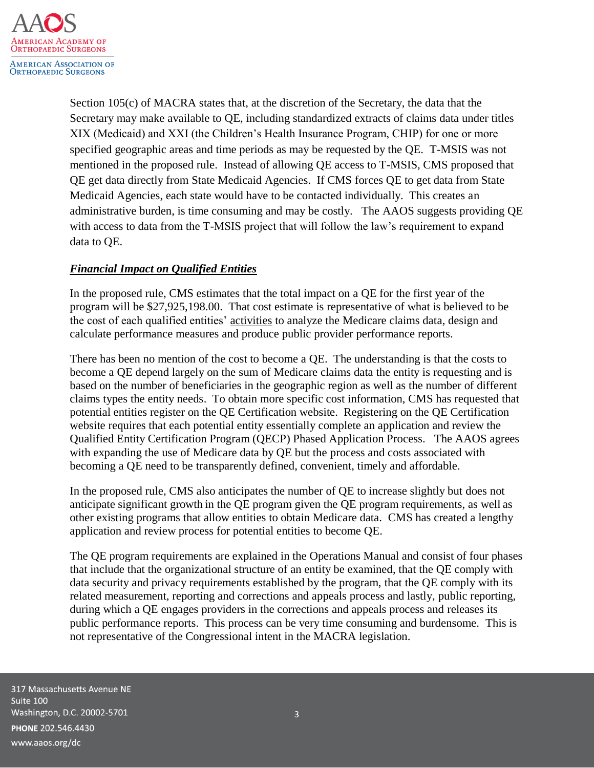

Section 105(c) of MACRA states that, at the discretion of the Secretary, the data that the Secretary may make available to QE, including standardized extracts of claims data under titles XIX (Medicaid) and XXI (the Children's Health Insurance Program, CHIP) for one or more specified geographic areas and time periods as may be requested by the QE. T-MSIS was not mentioned in the proposed rule. Instead of allowing QE access to T-MSIS, CMS proposed that QE get data directly from State Medicaid Agencies. If CMS forces QE to get data from State Medicaid Agencies, each state would have to be contacted individually. This creates an administrative burden, is time consuming and may be costly. The AAOS suggests providing QE with access to data from the T-MSIS project that will follow the law's requirement to expand data to QE.

# *Financial Impact on Qualified Entities*

In the proposed rule, CMS estimates that the total impact on a QE for the first year of the program will be \$27,925,198.00. That cost estimate is representative of what is believed to be the cost of each qualified entities' activities to analyze the Medicare claims data, design and calculate performance measures and produce public provider performance reports.

There has been no mention of the cost to become a QE. The understanding is that the costs to become a QE depend largely on the sum of Medicare claims data the entity is requesting and is based on the number of beneficiaries in the geographic region as well as the number of different claims types the entity needs. To obtain more specific cost information, CMS has requested that potential entities register on the QE Certification website. Registering on the QE Certification website requires that each potential entity essentially complete an application and review the Qualified Entity Certification Program (QECP) Phased Application Process. The AAOS agrees with expanding the use of Medicare data by QE but the process and costs associated with becoming a QE need to be transparently defined, convenient, timely and affordable.

In the proposed rule, CMS also anticipates the number of QE to increase slightly but does not anticipate significant growth in the QE program given the QE program requirements, as well as other existing programs that allow entities to obtain Medicare data. CMS has created a lengthy application and review process for potential entities to become QE.

The QE program requirements are explained in the Operations Manual and consist of four phases that include that the organizational structure of an entity be examined, that the QE comply with data security and privacy requirements established by the program, that the QE comply with its related measurement, reporting and corrections and appeals process and lastly, public reporting, during which a QE engages providers in the corrections and appeals process and releases its public performance reports. This process can be very time consuming and burdensome. This is not representative of the Congressional intent in the MACRA legislation.

317 Massachusetts Avenue NE Suite 100 Washington, D.C. 20002-5701 PHONE 202.546.4430 www.aaos.org/dc